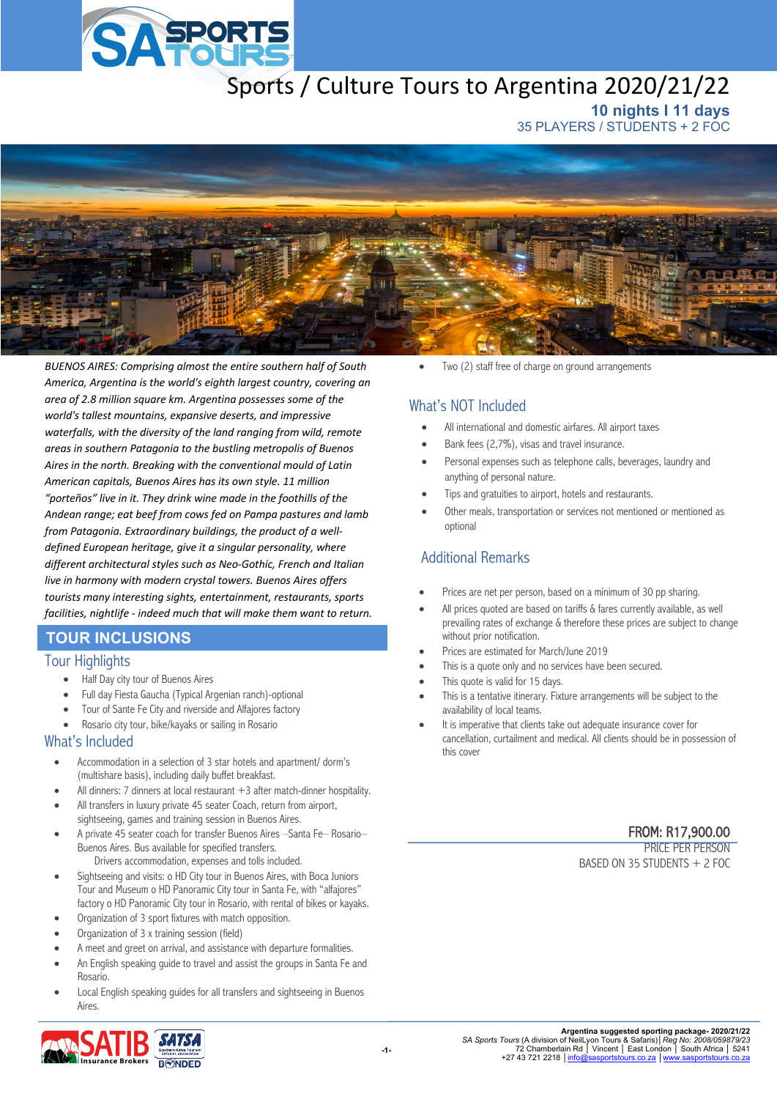

# Sports / Culture Tours to Argentina 2020/21/22

**10 nights I 11 days** 35 PLAYERS / STUDENTS + 2 FOC



*BUENOS AIRES: Comprising almost the entire southern half of South America, Argentina is the world's eighth largest country, covering an area of 2.8 million square km. Argentina possesses some of the world's tallest mountains, expansive deserts, and impressive waterfalls, with the diversity of the land ranging from wild, remote areas in southern Patagonia to the bustling metropolis of Buenos Aires in the north. Breaking with the conventional mould of Latin American capitals, Buenos Aires has its own style. 11 million "porteños" live in it. They drink wine made in the foothills of the Andean range; eat beef from cows fed on Pampa pastures and lamb from Patagonia. Extraordinary buildings, the product of a welldefined European heritage, give it a singular personality, where different architectural styles such as Neo-Gothic, French and Italian live in harmony with modern crystal towers. Buenos Aires offers tourists many interesting sights, entertainment, restaurants, sports facilities, nightlife - indeed much that will make them want to return.* 

# **TOUR INCLUSIONS**

#### Tour Highlights

- Half Day city tour of Buenos Aires
- Full day Fiesta Gaucha (Typical Argenian ranch)-optional
- Tour of Sante Fe City and riverside and Alfajores factory
- Rosario city tour, bike/kayaks or sailing in Rosario

#### What's Included

- Accommodation in a selection of 3 star hotels and apartment/ dorm's (multishare basis), including daily buffet breakfast.
- All dinners: 7 dinners at local restaurant  $+3$  after match-dinner hospitality.
- All transfers in luxury private 45 seater Coach, return from airport, sightseeing, games and training session in Buenos Aires.
- A private 45 seater coach for transfer Buenos Aires –Santa Fe– Rosario– Buenos Aires. Bus available for specified transfers. Drivers accommodation, expenses and tolls included.
- Sightseeing and visits: o HD City tour in Buenos Aires, with Boca Juniors Tour and Museum o HD Panoramic City tour in Santa Fe, with "alfajores" factory o HD Panoramic City tour in Rosario, with rental of bikes or kayaks.
- Organization of 3 sport fixtures with match opposition.
- Organization of 3 x training session (field)
- A meet and greet on arrival, and assistance with departure formalities.
- An English speaking guide to travel and assist the groups in Santa Fe and Rosario.
- Local English speaking guides for all transfers and sightseeing in Buenos Aires.



Two (2) staff free of charge on ground arrangements

# What's NOT Included

- All international and domestic airfares. All airport taxes
- Bank fees (2,7%), visas and travel insurance.
- Personal expenses such as telephone calls, beverages, laundry and anything of personal nature.
- Tips and gratuities to airport, hotels and restaurants.
- Other meals, transportation or services not mentioned or mentioned as optional

# Additional Remarks

- Prices are net per person, based on a minimum of 30 pp sharing.
- All prices quoted are based on tariffs & fares currently available, as well prevailing rates of exchange & therefore these prices are subject to change without prior notification.
- Prices are estimated for March/June 2019
- This is a quote only and no services have been secured.
- This quote is valid for 15 days.
- This is a tentative itinerary. Fixture arrangements will be subject to the availability of local teams.
- It is imperative that clients take out adequate insurance cover for cancellation, curtailment and medical. All clients should be in possession of this cover

#### FROM: R17,900.00

PRICE PER PERSON BASED ON 35 STUDENTS + 2 FOC